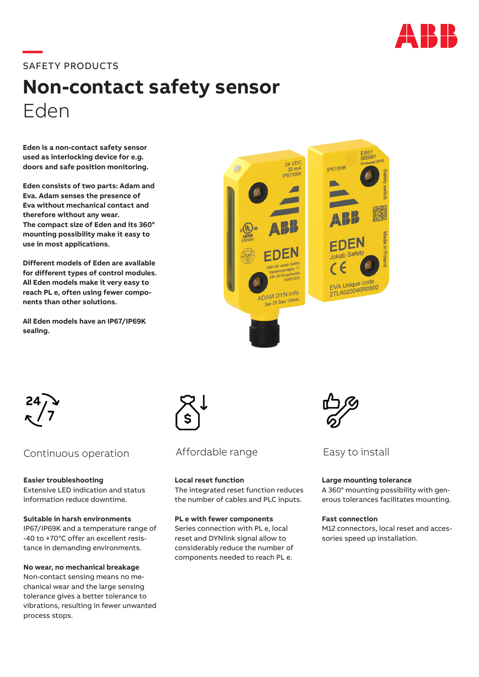

# **—**SAFETY PRODUCTS

# **Non-contact safety sensor**  Eden

**Eden is a non-contact safety sensor used as interlocking device for e.g. doors and safe position monitoring.** 

**Eden consists of two parts: Adam and Eva. Adam senses the presence of Eva without mechanical contact and therefore without any wear. The compact size of Eden and its 360° mounting possibility make it easy to use in most applications.**

**Different models of Eden are available for different types of control modules. All Eden models make it very easy to reach PL e, often using fewer components than other solutions.**

**All Eden models have an IP67/IP69K sealing.**





## Continuous operation

**Easier troubleshooting** Extensive LED indication and status information reduce downtime.

**Suitable in harsh environments** IP67/IP69K and a temperature range of -40 to +70°C offer an excellent resistance in demanding environments.

## **No wear, no mechanical breakage**

Non-contact sensing means no mechanical wear and the large sensing tolerance gives a better tolerance to vibrations, resulting in fewer unwanted process stops.



Affordable range Easy to install

**Local reset function** The integrated reset function reduces the number of cables and PLC inputs.

**PL e with fewer components** Series connection with PL e, local reset and DYNlink signal allow to considerably reduce the number of components needed to reach PL e.



### **Large mounting tolerance**

A 360° mounting possibility with generous tolerances facilitates mounting.

#### **Fast connection**

M12 connectors, local reset and accessories speed up installation.